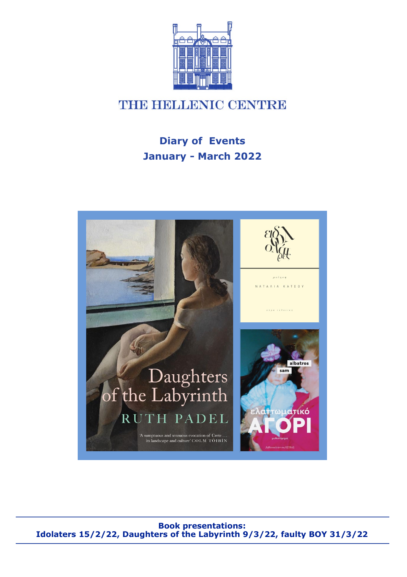

# *NHBHHMLDRNIC CENTRE*

# **Diary of Events January - March 2022**



**Book presentations: Idolaters 15/2/22, Daughters of the Labyrinth 9/3/22, faulty BOY 31/3/22**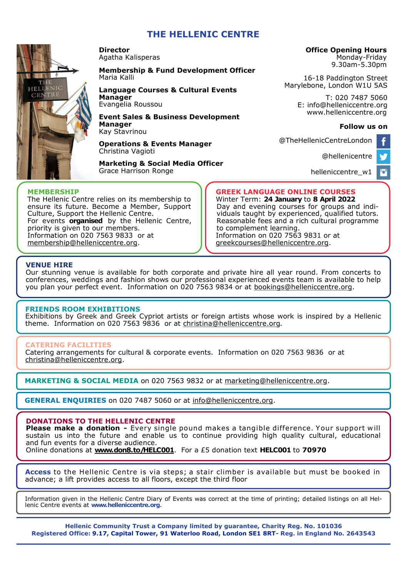## **THE HELLENIC CENTRE**



**Director**  Agatha Kalisperas

#### **Membership & Fund Development Officer**  Maria Kalli

## **Language Courses & Cultural Events**

**Manager**  Evangelia Roussou

**Event Sales & Business Development Manager** Kay Stavrinou

**Operations & Events Manager**  Christina Vagioti

**Marketing & Social Media Officer** Grace Harrison Ronge

### **Office Opening Hours**

Monday-Friday 9.30am-5.30pm

16-18 Paddington Street Marylebone, London W1U 5AS

> T: 020 7487 5060 E: info@helleniccentre.org www.helleniccentre.org

### **Follow us on**

ø

@TheHellenicCentreLondon

[@hellenicentre](https://twitter.com/hellenicentre)

[helleniccentre\\_w1](https://www.instagram.com/helleniccentre_w1/)

### **MEMBERSHIP**

The Hellenic Centre relies on its membership to ensure its future. Become a Member, Support Culture, Support the Hellenic Centre. For events **organised** by the Hellenic Centre, priority is given to our members. Information on 020 7563 9833 or at [membership@helleniccentre.org.](mailto:maria@helleniccentre.org)

#### **GREEK LANGUAGE ONLINE COURSES** Winter Term: **24 January** to **8 April 2022**

Day and evening courses for groups and individuals taught by experienced, qualified tutors. Reasonable fees and a rich cultural programme to complement learning. Information on 020 7563 9831 or at [greekcourses@helleniccentre.org.](mailto:greekcourses@helleniccentre.org)

### **VENUE HIRE**

Our stunning venue is available for both corporate and private hire all year round. From concerts to conferences, weddings and fashion shows our professional experienced events team is available to help you plan your perfect event. Information on 020 7563 9834 or at [bookings@helleniccentre.org.](mailto:bookings@helleniccentre.org)

### **FRIENDS ROOM EXHIBITIONS**

Εxhibitions by Greek and Greek Cypriot artists or foreign artists whose work is inspired by a Hellenic theme. Information on 020 7563 9836 or at [christina@helleniccentre.org.](mailto:christina@helleniccentre.org)

### **CATERING FACILITIES**

Catering arrangements for cultural & corporate events. Information on 020 7563 9836 or at [christina@helleniccentre.org.](mailto:christina@helleniccentre.org)

**MARKETING & SOCIAL MEDIA** on 020 7563 9832 or at marketing@helleniccentre.org.

**GENERAL ENQUIRIES** on 020 7487 5060 or at info@helleniccentre.org.

### **DONATIONS TO THE HELLENIC CENTRE**

**Please make a donation -** Every single pound makes a tangible difference. Your support will sustain us into the future and enable us to continue providing high quality cultural, educational and fun events for a diverse audience.

Online donations at **[www.don8.to/HELC001](http://www.don8.to/HELC001)**. For a £5 donation text **HELC001** to **70970** 

**Access** to the Hellenic Centre is via steps; a stair climber is available but must be booked in advance; a lift provides access to all floors, except the third floor

Information given in the Hellenic Centre Diary of Events was correct at the time of printing; detailed listings on all Hellenic Centre events at **www.helleniccentre.org**.

**Hellenic Community Trust a Company limited by guarantee, Charity Reg. No. 101036 Registered Office: 9.17, Capital Tower, 91 Waterloo Road, London SE1 8RT- Reg. in England No. 2643543**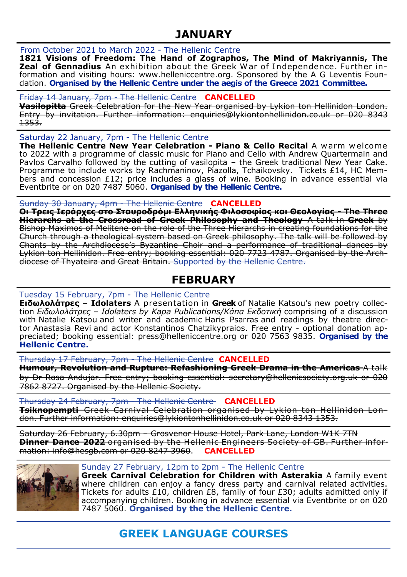## **JANUARY**

### From October 2021 to March 2022 - The Hellenic Centre

**1821 Visions of Freedom: The Hand of Zographos, The Mind of Makriyannis, The Zeal of Gennadius** An exhibition about the Greek W ar of I ndependence. Further information and visiting hours: www.helleniccentre.org. Sponsored by the A G Leventis Foundation. **Organised by the Hellenic Centre under the aegis of the Greece 2021 Committee.** 

## Friday 14 January, 7pm - The Hellenic Centre **CANCELLED**

**Vasilopitta** Greek Celebration for the New Year organised by Lykion ton Hellinidon London. Entry by invitation. Further information: [enquiries@lykiontonhellinidon.co.uk](mailto:enquiries@lykiontonhellinidon.co.uk) or 020 8343 1353.

Saturday 22 January, 7pm - The Hellenic Centre

**The Hellenic Centre New Year Celebration - Piano & Cello Recital** A w arm w elcome to 2022 with a programme of classic music for Piano and Cello with Andrew Quartermain and Pavlos Carvalho followed by the cutting of vasilopita – the Greek traditional New Year Cake. Programme to include works by Rachmaninov, Piazolla, Tchaikovsky. Tickets £14, HC Members and concession £12; price includes a glass of wine. Booking in advance essential via Eventbrite or on 020 7487 5060. **Organised by the Hellenic Centre.**

Sunday 30 January, 4pm - The Hellenic Centre **CANCELLED**

**Οι Τρεις Ιεράρχες στο Σταυροδρόμι Ελληνικής Φιλοσοφίας και Θεολογίας - The Three Hierarchs at the Crossroad of Greek Philosophy and Theology** A talk in **Greek** by Bishop Maximos of Melitene on the role of the Three Hierarchs in creating foundations for the Church through a theological system based on Greek philosophy. The talk will be followed by Chants by the Archdiocese's Byzantine Choir and a performance of traditional dances by Lykion ton Hellinidon. Free entry; booking essential: 020 7723 4787. Organised by the Archdiocese of Thyateira and Great Britain. Supported by the Hellenic Centre.

## **FEBRUARY**

## Tuesday 15 February, 7pm - The Hellenic Centre

**Ειδωλολάτρες – Idolaters** A presentation in **Greek** of [Natalie Katsou'](http://www.nataliekatsou.com/)s new poetry collection *Ειδωλολάτρες – Idolaters by Kapa Publications/Κάπα Εκδοτική* comprising of a discussion with Natalie Katsou and writer and academic Haris Psarras and readings by theatre director Anastasia Revi and actor Konstantinos Chatzikypraios. Free entry - optional donation appreciated; booking essential: press@helleniccentre.org or 020 7563 9835. **Organised by the Hellenic Centre.**

Thursday 17 February, 7pm - The Hellenic Centre **CANCELLED**

**Humour, Revolution and Rupture: Refashioning Greek Drama in the Americas** A talk by Dr Rosa Andujar. Free entry; booking essential: secretary@hellenicsociety.org.uk or 020 7862 8727. Organised by the Hellenic Society.

Thursday 24 February, 7pm - The Hellenic Centre **CANCELLED Tsiknopempti** Greek Carnival Celebration organised by Lykion ton Hellinidon London. Further information: [enquiries@lykiontonhellinidon.co.uk](mailto:enquiries@lykiontonhellinidon.co.uk) or 020 8343 1353.

Saturday 26 February, 6.30pm – Grosvenor House Hotel, Park Lane, London W1K 7TN **Dinner Dance 2022** organised by the Hellenic Engineers Society of GB. Further information: [info@hesgb.com](mailto:info@hesgb.com) or 020 8247 3960. **CANCELLED**



## Sunday 27 February, 12pm to 2pm - The Hellenic Centre

**Greek Carnival Celebration for Children with Asterakia** A family event where children can enjoy a fancy dress party and carnival related activities. Tickets for adults £10, children £8, family of four £30; adults admitted only if accompanying children. Booking in advance essential via Eventbrite or on 020 7487 5060. **Organised by the the Hellenic Centre.**

# **GREEK LANGUAGE COURSES**